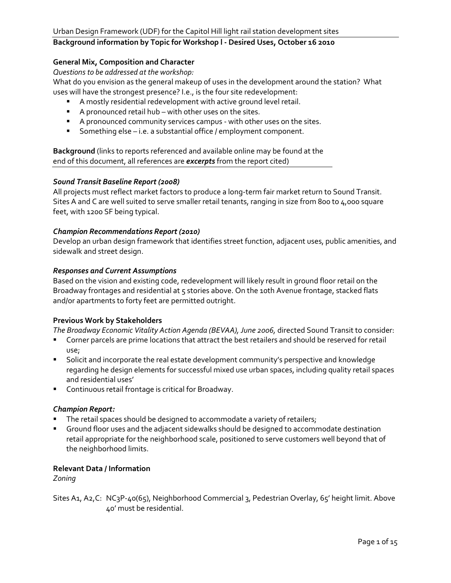### **General Mix, Composition and Character**

*Questions to be addressed at the workshop:*

What do you envision as the general makeup of uses in the development around the station? What uses will have the strongest presence? I.e., is the four site redevelopment:

- A mostly residential redevelopment with active ground level retail.
- A pronounced retail hub with other uses on the sites.
- A pronounced community services campus with other uses on the sites.
- Something else i.e. a substantial office / employment component.

**Background** (links to reports referenced and available online may be found at the end of this document, all references are *excerpts* from the report cited)

#### *Sound Transit Baseline Report (2008)*

All projects must reflect market factors to produce a long-term fair market return to Sound Transit. Sites A and C are well suited to serve smaller retail tenants, ranging in size from 800 to 4,000 square feet, with 1200 SF being typical.

#### *Champion Recommendations Report (2010)*

Develop an urban design framework that identifies street function, adjacent uses, public amenities, and sidewalk and street design.

#### *Responses and Current Assumptions*

Based on the vision and existing code, redevelopment will likely result in ground floor retail on the Broadway frontages and residential at 5 stories above. On the 10th Avenue frontage, stacked flats and/or apartments to forty feet are permitted outright.

#### **Previous Work by Stakeholders**

The Broadway Economic Vitality Action Agenda (BEVAA), June 2006, directed Sound Transit to consider:

- Corner parcels are prime locations that attract the best retailers and should be reserved for retail use;
- Solicit and incorporate the real estate development community's perspective and knowledge regarding he design elements for successful mixed use urban spaces, including quality retail spaces and residential uses'
- **Continuous retail frontage is critical for Broadway.**

#### *Champion Report:*

- The retail spaces should be designed to accommodate a variety of retailers;
- Ground floor uses and the adjacent sidewalks should be designed to accommodate destination retail appropriate for the neighborhood scale, positioned to serve customers well beyond that of the neighborhood limits.

#### **Relevant Data / Information**

*Zoning*

Sites A1, A2, C: NC3P-40(65), Neighborhood Commercial 3, Pedestrian Overlay, 65' height limit. Above 40' must be residential.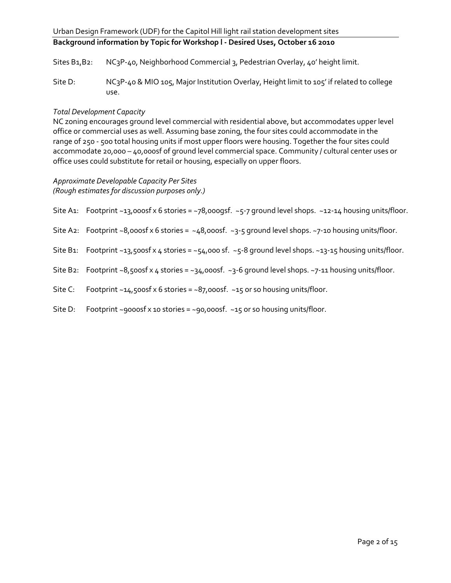Sites B<sub>1</sub>,B<sub>2</sub>: NC<sub>3</sub>P-<sub>40</sub>, Neighborhood Commercial 3, Pedestrian Overlay, 40' height limit.

Site D: NC3P-40 & MIO 105, Major Institution Overlay, Height limit to 105' if related to college use.

#### *Total Development Capacity*

NC zoning encourages ground level commercial with residential above, but accommodates upper level office or commercial uses as well. Assuming base zoning, the four sites could accommodate in the range of 250 - 500 total housing units if most upper floors were housing. Together the four sites could accommodate 20,000 – 40,000sf of ground level commercial space. Community / cultural center uses or office uses could substitute for retail or housing, especially on upper floors.

*Approximate Developable Capacity Per Sites (Rough estimates for discussion purposes only.)* 

Site A1: Footprint ~13,000sf x 6 stories = ~78,000gsf. ~5-7 ground level shops. ~12-14 housing units/floor.

- Site A2: Footprint ~8,000sf x 6 stories =  $-48,000$ sf. ~3-5 ground level shops. ~7-10 housing units/floor.
- Site B1: Footprint ~13,500sf x 4 stories = ~54,000 sf. ~5-8 ground level shops. ~13-15 housing units/floor.
- Site B2: Footprint ~8,500sf x 4 stories = ~34,000sf. ~3-6 ground level shops. ~7-11 housing units/floor.
- Site C: Footprint ~14,500sf x 6 stories = ~87,000sf. ~15 or so housing units/floor.
- Site D: Footprint ~9000sf x 10 stories = ~90,000sf. ~15 or so housing units/floor.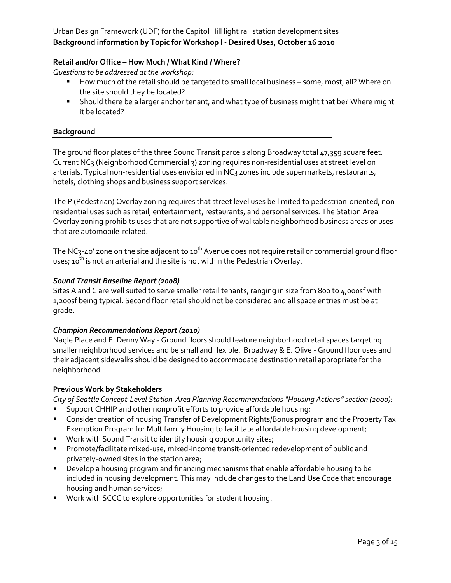#### **Retail and/or Office – How Much / What Kind / Where?**

*Questions to be addressed at the workshop:*

- How much of the retail should be targeted to small local business some, most, all? Where on the site should they be located?
- **Should there be a larger anchor tenant, and what type of business might that be? Where might** it be located?

#### **Background**

The ground floor plates of the three Sound Transit parcels along Broadway total 47,359 square feet. Current NC3 (Neighborhood Commercial 3) zoning requires non-residential uses at street level on arterials. Typical non-residential uses envisioned in NC3 zones include supermarkets, restaurants, hotels, clothing shops and business support services.

The P (Pedestrian) Overlay zoning requires that street level uses be limited to pedestrian-oriented, nonresidential uses such as retail, entertainment, restaurants, and personal services. The Station Area Overlay zoning prohibits uses that are not supportive of walkable neighborhood business areas or uses that are automobile-related.

The NC<sub>3</sub>-40' zone on the site adjacent to 10<sup>th</sup> Avenue does not require retail or commercial ground floor uses; 10<sup>th</sup> is not an arterial and the site is not within the Pedestrian Overlay.

#### *Sound Transit Baseline Report (2008)*

Sites A and C are well suited to serve smaller retail tenants, ranging in size from 800 to 4,000sf with 1,200sf being typical. Second floor retail should not be considered and all space entries must be at grade.

#### *Champion Recommendations Report (2010)*

Nagle Place and E. Denny Way - Ground floors should feature neighborhood retail spaces targeting smaller neighborhood services and be small and flexible. Broadway & E. Olive - Ground floor uses and their adjacent sidewalks should be designed to accommodate destination retail appropriate for the neighborhood.

#### **Previous Work by Stakeholders**

*City of Seattle Concept-Level Station-Area Planning Recommendations "Housing Actions" section (2000):*

- Support CHHIP and other nonprofit efforts to provide affordable housing;
- **EXP** Consider creation of housing Transfer of Development Rights/Bonus program and the Property Tax Exemption Program for Multifamily Housing to facilitate affordable housing development;
- **Work with Sound Transit to identify housing opportunity sites;**
- **Promote/facilitate mixed-use, mixed-income transit-oriented redevelopment of public and** privately-owned sites in the station area;
- Develop a housing program and financing mechanisms that enable affordable housing to be included in housing development. This may include changes to the Land Use Code that encourage housing and human services;
- Work with SCCC to explore opportunities for student housing.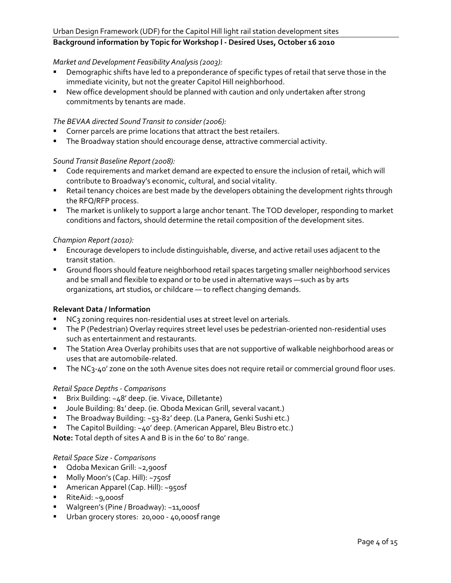#### *Market and Development Feasibility Analysis (2003):*

- Demographic shifts have led to a preponderance of specific types of retail that serve those in the immediate vicinity, but not the greater Capitol Hill neighborhood.
- New office development should be planned with caution and only undertaken after strong commitments by tenants are made.

### *The BEVAA directed Sound Transit to consider (2006):*

- Corner parcels are prime locations that attract the best retailers.
- **The Broadway station should encourage dense, attractive commercial activity.**

#### *Sound Transit Baseline Report (2008):*

- Code requirements and market demand are expected to ensure the inclusion of retail, which will contribute to Broadway's economic, cultural, and social vitality.
- **Retail tenancy choices are best made by the developers obtaining the development rights through** the RFQ/RFP process.
- **The market is unlikely to support a large anchor tenant. The TOD developer, responding to market** conditions and factors, should determine the retail composition of the development sites.

#### *Champion Report (2010):*

- **Encourage developers to include distinguishable, diverse, and active retail uses adjacent to the** transit station.
- Ground floors should feature neighborhood retail spaces targeting smaller neighborhood services and be small and flexible to expand or to be used in alternative ways —such as by arts organizations, art studios, or childcare — to reflect changing demands.

### **Relevant Data / Information**

- **NC<sub>3</sub>** zoning requires non-residential uses at street level on arterials.
- The P (Pedestrian) Overlay requires street level uses be pedestrian-oriented non-residential uses such as entertainment and restaurants.
- **The Station Area Overlay prohibits uses that are not supportive of walkable neighborhood areas or** uses that are automobile-related.
- The NC<sub>3</sub>-40' zone on the 10th Avenue sites does not require retail or commercial ground floor uses.

#### *Retail Space Depths - Comparisons*

- Brix Building: ~48' deep. (ie. Vivace, Dilletante)
- Joule Building: 81' deep. (ie. Qboda Mexican Grill, several vacant.)
- The Broadway Building: ~53-82' deep. (La Panera, Genki Sushi etc.)
- The Capitol Building: ~40' deep. (American Apparel, Bleu Bistro etc.)

**Note:** Total depth of sites A and B is in the 60' to 80' range.

#### *Retail Space Size - Comparisons*

- Qdoba Mexican Grill: ~2,900sf
- **Molly Moon's (Cap. Hill): ~750sf**
- **American Apparel (Cap. Hill): ~950sf**
- RiteAid: ~9,000sf
- Walgreen's (Pine / Broadway): ~11,000sf
- Urban grocery stores: 20,000 40,000sf range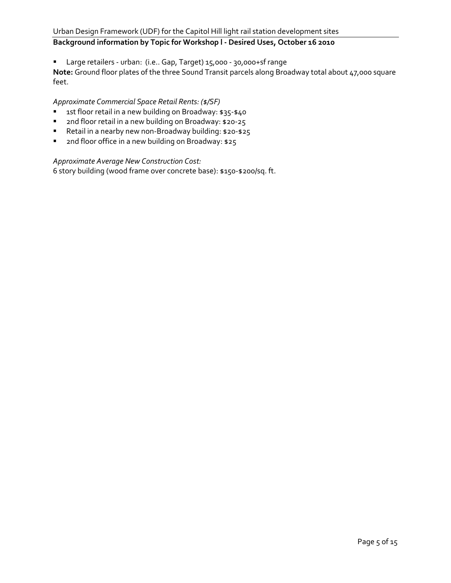Large retailers - urban: (i.e.. Gap, Target) 15,000 - 30,000+sf range

**Note:** Ground floor plates of the three Sound Transit parcels along Broadway total about 47,000 square feet.

#### *Approximate Commercial Space Retail Rents: (\$/SF)*

- 1st floor retail in a new building on Broadway: \$35-\$40
- **2nd floor retail in a new building on Broadway: \$20-25**
- Retail in a nearby new non-Broadway building: \$20-\$25
- **1** 2nd floor office in a new building on Broadway: \$25

#### *Approximate Average New Construction Cost:*

6 story building (wood frame over concrete base): \$150-\$200/sq. ft.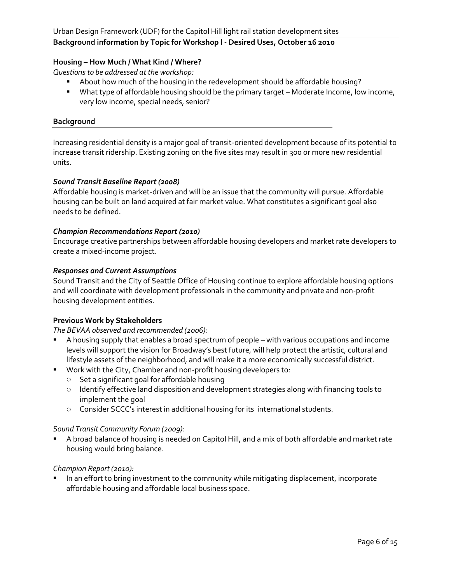# **Housing – How Much / What Kind / Where?**

*Questions to be addressed at the workshop:*

- About how much of the housing in the redevelopment should be affordable housing?
- What type of affordable housing should be the primary target Moderate Income, low income, very low income, special needs, senior?

#### **Background**

Increasing residential density is a major goal of transit-oriented development because of its potential to increase transit ridership. Existing zoning on the five sites may result in 300 or more new residential units.

#### *Sound Transit Baseline Report (2008)*

Affordable housing is market-driven and will be an issue that the community will pursue. Affordable housing can be built on land acquired at fair market value. What constitutes a significant goal also needs to be defined.

#### *Champion Recommendations Report (2010)*

Encourage creative partnerships between affordable housing developers and market rate developers to create a mixed-income project.

#### *Responses and Current Assumptions*

Sound Transit and the City of Seattle Office of Housing continue to explore affordable housing options and will coordinate with development professionals in the community and private and non-profit housing development entities.

#### **Previous Work by Stakeholders**

#### *The BEVAA observed and recommended (2006):*

- A housing supply that enables a broad spectrum of people with various occupations and income levels will support the vision for Broadway's best future, will help protect the artistic, cultural and lifestyle assets of the neighborhood, and will make it a more economically successful district.
- **Work with the City, Chamber and non-profit housing developers to:** 
	- o Set a significant goal for affordable housing
	- o Identify effective land disposition and development strategies along with financing tools to implement the goal
	- o Consider SCCC's interest in additional housing for its international students.

#### *Sound Transit Community Forum (2009):*

 A broad balance of housing is needed on Capitol Hill, and a mix of both affordable and market rate housing would bring balance.

#### *Champion Report (2010):*

 In an effort to bring investment to the community while mitigating displacement, incorporate affordable housing and affordable local business space.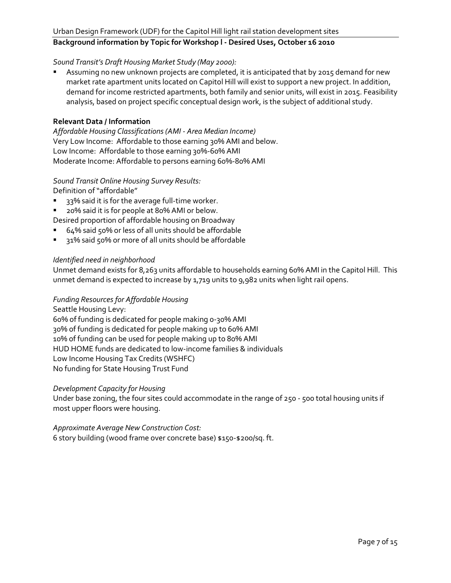# Urban Design Framework (UDF) for the Capitol Hill light rail station development sites

# **Background information by Topic for Workshop l - Desired Uses, October 16 2010**

#### *Sound Transit's Draft Housing Market Study (May 2000):*

 Assuming no new unknown projects are completed, it is anticipated that by 2015 demand for new market rate apartment units located on Capitol Hill will exist to support a new project. In addition, demand for income restricted apartments, both family and senior units, will exist in 2015. Feasibility analysis, based on project specific conceptual design work, is the subject of additional study.

#### **Relevant Data / Information**

*Affordable Housing Classifications (AMI - Area Median Income)* Very Low Income: Affordable to those earning 30% AMI and below. Low Income: Affordable to those earning 30%-60% AMI Moderate Income: Affordable to persons earning 60%-80% AMI

### *Sound Transit Online Housing Survey Results:*

Definition of "affordable"

- 33% said it is for the average full-time worker.
- 20% said it is for people at 80% AMI or below.

Desired proportion of affordable housing on Broadway

- 64% said 50% or less of all units should be affordable
- 31% said 50% or more of all units should be affordable

#### *Identified need in neighborhood*

Unmet demand exists for 8,263 units affordable to households earning 60% AMI in the Capitol Hill. This unmet demand is expected to increase by 1,719 units to 9,982 units when light rail opens.

#### *Funding Resources for Affordable Housing*

Seattle Housing Levy: 60% of funding is dedicated for people making 0-30% AMI 30% of funding is dedicated for people making up to 60% AMI 10% of funding can be used for people making up to 80% AMI HUD HOME funds are dedicated to low-income families & individuals Low Income Housing Tax Credits (WSHFC) No funding for State Housing Trust Fund

#### *Development Capacity for Housing*

Under base zoning, the four sites could accommodate in the range of 250 - 500 total housing units if most upper floors were housing.

# *Approximate Average New Construction Cost:*

6 story building (wood frame over concrete base) \$150-\$200/sq. ft.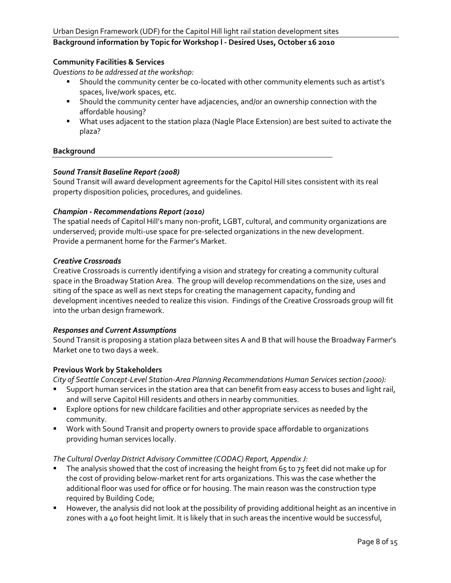#### **Community Facilities & Services**

*Questions to be addressed at the workshop:*

- Should the community center be co-located with other community elements such as artist's spaces, live/work spaces, etc.
- **Should the community center have adjacencies, and/or an ownership connection with the** affordable housing?
- What uses adjacent to the station plaza (Nagle Place Extension) are best suited to activate the plaza?

#### **Background**

#### *Sound Transit Baseline Report (2008)*

Sound Transit will award development agreements for the Capitol Hill sites consistent with its real property disposition policies, procedures, and guidelines.

#### *Champion - Recommendations Report (2010)*

The spatial needs of Capitol Hill's many non-profit, LGBT, cultural, and community organizations are underserved; provide multi-use space for pre-selected organizations in the new development. Provide a permanent home for the Farmer's Market.

#### *Creative Crossroads*

Creative Crossroads is currently identifying a vision and strategy for creating a community cultural space in the Broadway Station Area. The group will develop recommendations on the size, uses and siting of the space as well as next steps for creating the management capacity, funding and development incentives needed to realize this vision. Findings of the Creative Crossroads group will fit into the urban design framework.

#### *Responses and Current Assumptions*

Sound Transit is proposing a station plaza between sites A and B that will house the Broadway Farmer's Market one to two days a week.

#### **Previous Work by Stakeholders**

*City of Seattle Concept-Level Station-Area Planning Recommendations Human Services section (2000):*

- Support human services in the station area that can benefit from easy access to buses and light rail, and will serve Capitol Hill residents and others in nearby communities.
- **Explore options for new childcare facilities and other appropriate services as needed by the** community.
- Work with Sound Transit and property owners to provide space affordable to organizations providing human services locally.

#### *The Cultural Overlay District Advisory Committee (CODAC) Report, Appendix J:*

- The analysis showed that the cost of increasing the height from 65 to 75 feet did not make up for the cost of providing below-market rent for arts organizations. This was the case whether the additional floor was used for office or for housing. The main reason was the construction type required by Building Code;
- However, the analysis did not look at the possibility of providing additional height as an incentive in zones with a 40 foot height limit. It is likely that in such areas the incentive would be successful,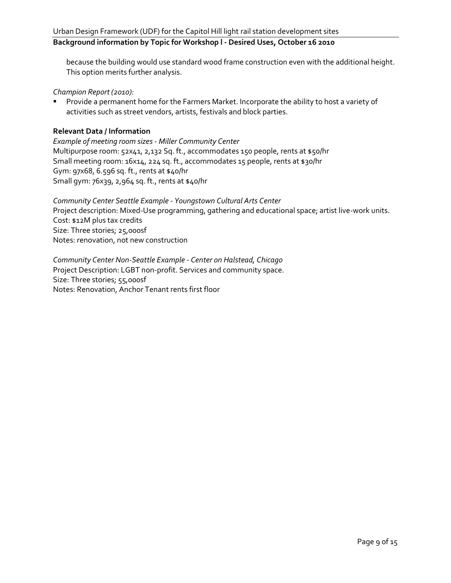because the building would use standard wood frame construction even with the additional height. This option merits further analysis.

*Champion Report (2010):*

**Provide a permanent home for the Farmers Market. Incorporate the ability to host a variety of** activities such as street vendors, artists, festivals and block parties.

#### **Relevant Data / Information**

*Example of meeting room sizes - Miller Community Center* Multipurpose room: 52x41, 2,132 Sq. ft., accommodates 150 people, rents at \$50/hr Small meeting room: 16x14, 224 sq. ft., accommodates 15 people, rents at \$30/hr Gym: 97x68, 6.596 sq. ft., rents at \$40/hr Small gym: 76x39, 2,964 sq. ft., rents at \$40/hr

*Community Center Seattle Example - Youngstown Cultural Arts Center* Project description: Mixed-Use programming, gathering and educational space; artist live-work units. Cost: \$12M plus tax credits Size: Three stories; 25,000sf Notes: renovation, not new construction

*Community Center Non-Seattle Example - Center on Halstead, Chicago* Project Description: LGBT non-profit. Services and community space. Size: Three stories; 55,000sf Notes: Renovation, Anchor Tenant rents first floor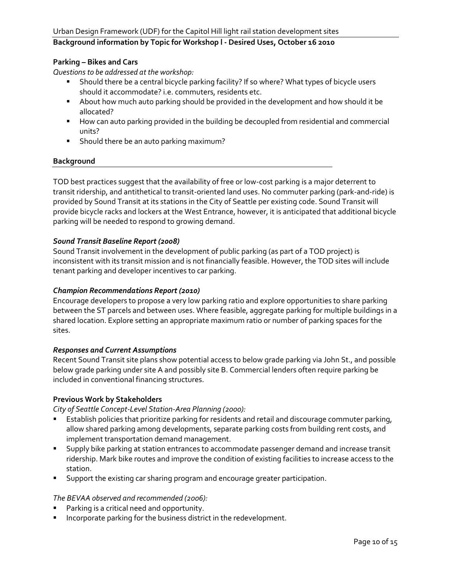#### **Parking – Bikes and Cars**

*Questions to be addressed at the workshop:*

- Should there be a central bicycle parking facility? If so where? What types of bicycle users should it accommodate? i.e. commuters, residents etc.
- About how much auto parking should be provided in the development and how should it be allocated?
- How can auto parking provided in the building be decoupled from residential and commercial units?
- **Should there be an auto parking maximum?**

#### **Background**

TOD best practices suggest that the availability of free or low-cost parking is a major deterrent to transit ridership, and antithetical to transit-oriented land uses. No commuter parking (park-and-ride) is provided by Sound Transit at its stations in the City of Seattle per existing code. Sound Transit will provide bicycle racks and lockers at the West Entrance, however, it is anticipated that additional bicycle parking will be needed to respond to growing demand.

#### *Sound Transit Baseline Report (2008)*

Sound Transit involvement in the development of public parking (as part of a TOD project) is inconsistent with its transit mission and is not financially feasible. However, the TOD sites will include tenant parking and developer incentives to car parking.

#### *Champion Recommendations Report (2010)*

Encourage developers to propose a very low parking ratio and explore opportunities to share parking between the ST parcels and between uses. Where feasible, aggregate parking for multiple buildings in a shared location. Explore setting an appropriate maximum ratio or number of parking spaces for the sites.

#### *Responses and Current Assumptions*

Recent Sound Transit site plans show potential access to below grade parking via John St., and possible below grade parking under site A and possibly site B. Commercial lenders often require parking be included in conventional financing structures.

#### **Previous Work by Stakeholders**

*City of Seattle Concept-Level Station-Area Planning (2000):*

- Establish policies that prioritize parking for residents and retail and discourage commuter parking, allow shared parking among developments, separate parking costs from building rent costs, and implement transportation demand management.
- **Supply bike parking at station entrances to accommodate passenger demand and increase transit** ridership. Mark bike routes and improve the condition of existing facilities to increase access to the station.
- **Support the existing car sharing program and encourage greater participation.**

#### *The BEVAA observed and recommended (2006):*

- Parking is a critical need and opportunity.
- **Incorporate parking for the business district in the redevelopment.**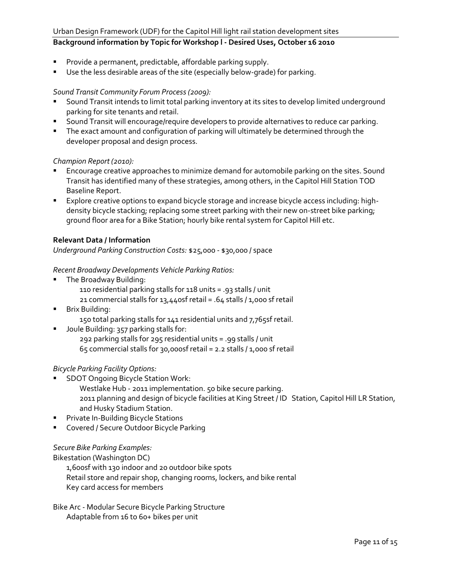#### Urban Design Framework (UDF) for the Capitol Hill light rail station development sites

# **Background information by Topic for Workshop l - Desired Uses, October 16 2010**

- Provide a permanent, predictable, affordable parking supply.
- Use the less desirable areas of the site (especially below-grade) for parking.

#### *Sound Transit Community Forum Process (2009):*

- **Sound Transit intends to limit total parking inventory at its sites to develop limited underground** parking for site tenants and retail.
- **Sound Transit will encourage/require developers to provide alternatives to reduce car parking.**
- **The exact amount and configuration of parking will ultimately be determined through the** developer proposal and design process.

#### *Champion Report (2010):*

- Encourage creative approaches to minimize demand for automobile parking on the sites. Sound Transit has identified many of these strategies, among others, in the Capitol Hill Station TOD Baseline Report.
- **Explore creative options to expand bicycle storage and increase bicycle access including: high**density bicycle stacking; replacing some street parking with their new on-street bike parking; ground floor area for a Bike Station; hourly bike rental system for Capitol Hill etc.

#### **Relevant Data / Information**

*Underground Parking Construction Costs:* \$25,000 - \$30,000 / space

#### *Recent Broadway Developments Vehicle Parking Ratios:*

- **The Broadway Building:** 
	- 110 residential parking stalls for 118 units = .93 stalls / unit
	- 21 commercial stalls for  $13,440$ sf retail = .64 stalls  $/1,000$  sf retail
- **Brix Building:** 
	- 150 total parking stalls for 141 residential units and 7,765sf retail.
- **Joule Building: 357 parking stalls for:** 292 parking stalls for 295 residential units = .99 stalls / unit 65 commercial stalls for 30,000sf retail = 2.2 stalls / 1,000 sf retail

#### *Bicycle Parking Facility Options:*

- **SDOT Ongoing Bicycle Station Work:** 
	- Westlake Hub 2011 implementation. 50 bike secure parking. 2011 planning and design of bicycle facilities at King Street / ID Station, Capitol Hill LR Station, and Husky Stadium Station.
- **Private In-Building Bicycle Stations**
- **Covered / Secure Outdoor Bicycle Parking**

#### *Secure Bike Parking Examples:*

Bikestation (Washington DC)

1,600sf with 130 indoor and 20 outdoor bike spots

Retail store and repair shop, changing rooms, lockers, and bike rental

Key card access for members

Bike Arc - Modular Secure Bicycle Parking Structure Adaptable from 16 to 60+ bikes per unit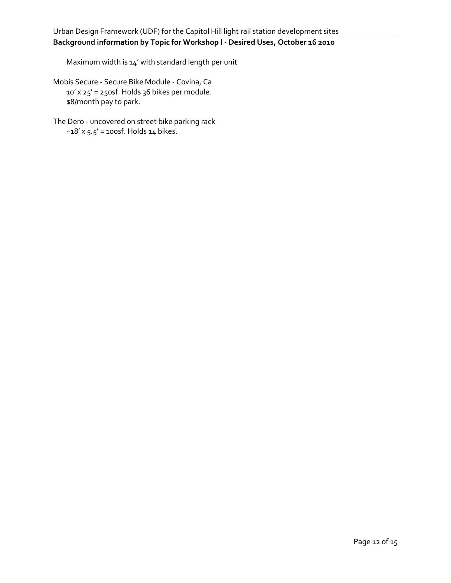Maximum width is 14' with standard length per unit

Mobis Secure - Secure Bike Module - Covina, Ca 10' x 25' = 250sf. Holds 36 bikes per module. \$8/month pay to park.

The Dero - uncovered on street bike parking rack  $-18'$  x  $5.5'$  = 100sf. Holds 14 bikes.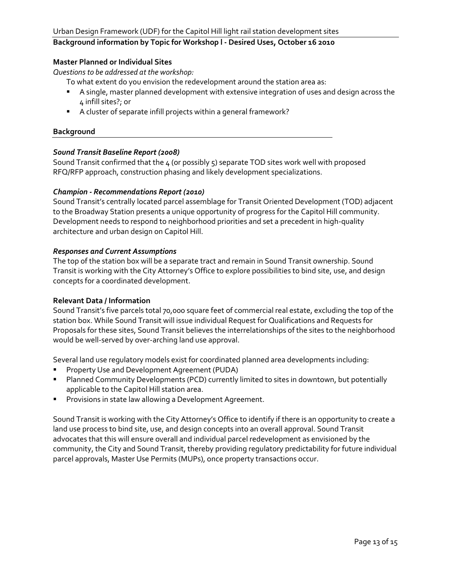#### **Master Planned or Individual Sites**

*Questions to be addressed at the workshop:*

To what extent do you envision the redevelopment around the station area as:

- A single, master planned development with extensive integration of uses and design across the 4 infill sites?; or
- A cluster of separate infill projects within a general framework?

#### **Background**

#### *Sound Transit Baseline Report (2008)*

Sound Transit confirmed that the 4 (or possibly 5) separate TOD sites work well with proposed RFQ/RFP approach, construction phasing and likely development specializations.

#### *Champion - Recommendations Report (2010)*

Sound Transit's centrally located parcel assemblage for Transit Oriented Development (TOD) adjacent to the Broadway Station presents a unique opportunity of progress for the Capitol Hill community. Development needs to respond to neighborhood priorities and set a precedent in high-quality architecture and urban design on Capitol Hill.

#### *Responses and Current Assumptions*

The top of the station box will be a separate tract and remain in Sound Transit ownership. Sound Transit is working with the City Attorney's Office to explore possibilities to bind site, use, and design concepts for a coordinated development.

#### **Relevant Data / Information**

Sound Transit's five parcels total 70,000 square feet of commercial real estate, excluding the top of the station box. While Sound Transit will issue individual Request for Qualifications and Requests for Proposals for these sites, Sound Transit believes the interrelationships of the sites to the neighborhood would be well-served by over-arching land use approval.

Several land use regulatory models exist for coordinated planned area developments including:

- **Property Use and Development Agreement (PUDA)**
- **Planned Community Developments (PCD) currently limited to sites in downtown, but potentially** applicable to the Capitol Hill station area.
- **Provisions in state law allowing a Development Agreement.**

Sound Transit is working with the City Attorney's Office to identify if there is an opportunity to create a land use process to bind site, use, and design concepts into an overall approval. Sound Transit advocates that this will ensure overall and individual parcel redevelopment as envisioned by the community, the City and Sound Transit, thereby providing regulatory predictability for future individual parcel approvals, Master Use Permits (MUPs), once property transactions occur.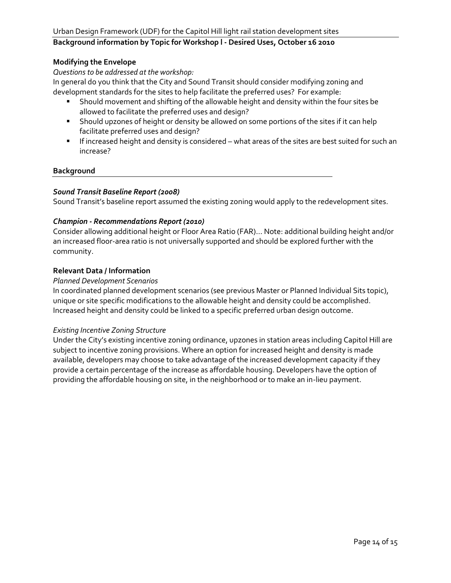#### **Modifying the Envelope**

*Questions to be addressed at the workshop:*

In general do you think that the City and Sound Transit should consider modifying zoning and development standards for the sites to help facilitate the preferred uses? For example:

- Should movement and shifting of the allowable height and density within the four sites be allowed to facilitate the preferred uses and design?
- **Should upzones of height or density be allowed on some portions of the sites if it can help** facilitate preferred uses and design?
- If increased height and density is considered what areas of the sites are best suited for such an increase?

#### **Background**

#### *Sound Transit Baseline Report (2008)*

Sound Transit's baseline report assumed the existing zoning would apply to the redevelopment sites.

#### *Champion - Recommendations Report (2010)*

Consider allowing additional height or Floor Area Ratio (FAR)… Note: additional building height and/or an increased floor-area ratio is not universally supported and should be explored further with the community.

#### **Relevant Data / Information**

#### *Planned Development Scenarios*

In coordinated planned development scenarios (see previous Master or Planned Individual Sits topic), unique or site specific modifications to the allowable height and density could be accomplished. Increased height and density could be linked to a specific preferred urban design outcome.

#### *Existing Incentive Zoning Structure*

Under the City's existing incentive zoning ordinance, upzones in station areas including Capitol Hill are subject to incentive zoning provisions. Where an option for increased height and density is made available, developers may choose to take advantage of the increased development capacity if they provide a certain percentage of the increase as affordable housing. Developers have the option of providing the affordable housing on site, in the neighborhood or to make an in-lieu payment.